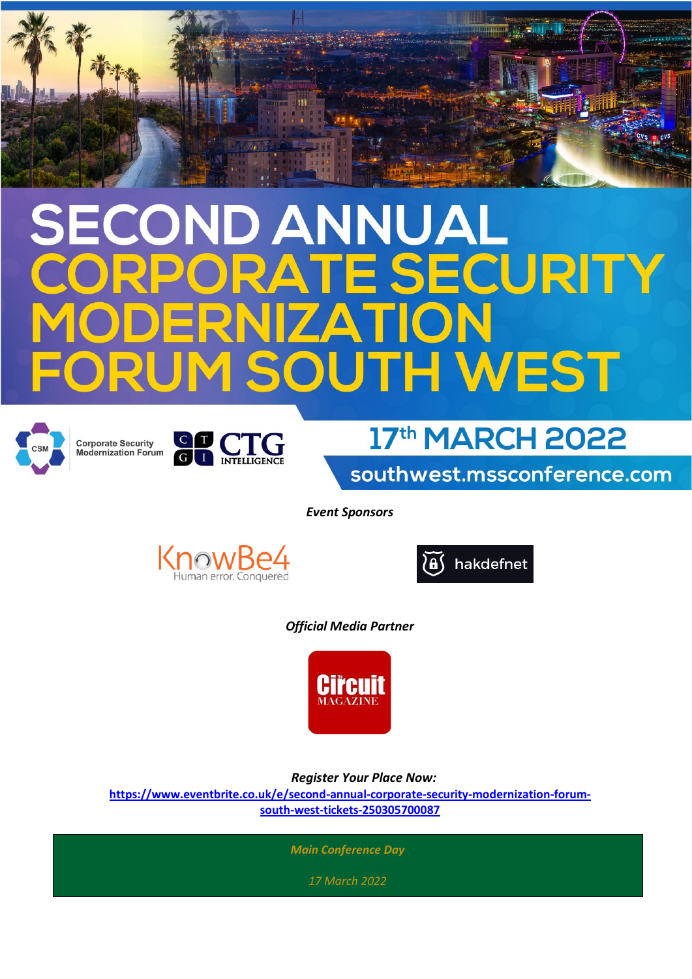## COND ANNUAL **E SECURITY**  $\Delta$ **TH WEST**









southwest.mssconference.com

*Event Sponsors*





*Official Media Partner*



 *Register Your Place Now:*

**[https://www.eventbrite.co.uk/e/second-annual-corporate-security-modernization-forum](https://www.eventbrite.co.uk/e/second-annual-corporate-security-modernization-forum-south-west-tickets-250305700087)[south-west-tickets-250305700087](https://www.eventbrite.co.uk/e/second-annual-corporate-security-modernization-forum-south-west-tickets-250305700087)**

*Main Conference Day* 

*17 March 2022*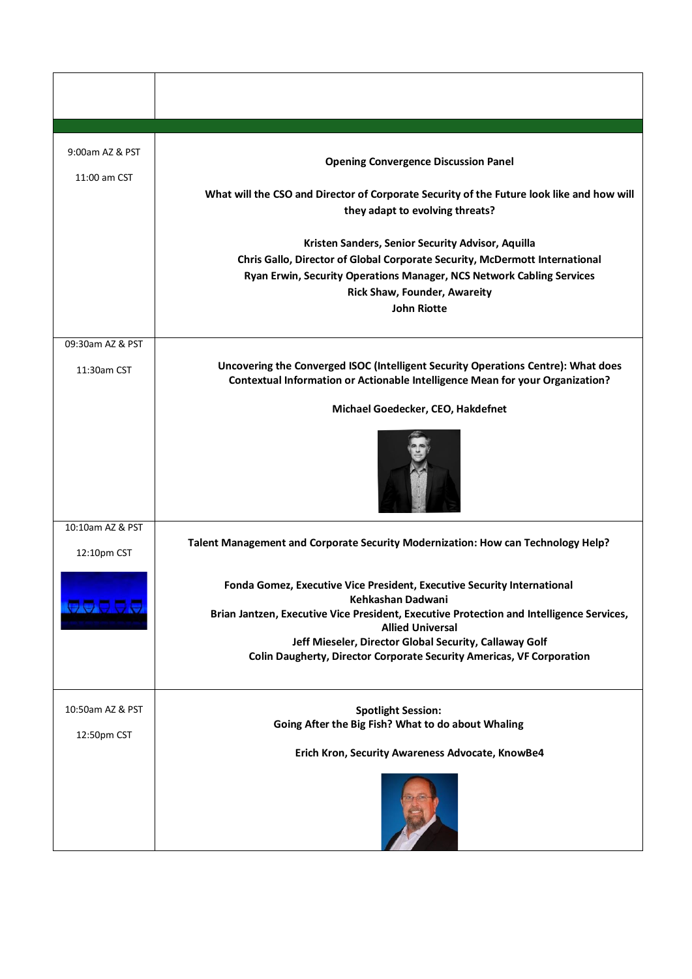| 9:00am AZ & PST  | <b>Opening Convergence Discussion Panel</b>                                                                                                                        |
|------------------|--------------------------------------------------------------------------------------------------------------------------------------------------------------------|
| 11:00 am CST     |                                                                                                                                                                    |
|                  | What will the CSO and Director of Corporate Security of the Future look like and how will<br>they adapt to evolving threats?                                       |
|                  | Kristen Sanders, Senior Security Advisor, Aquilla                                                                                                                  |
|                  | Chris Gallo, Director of Global Corporate Security, McDermott International                                                                                        |
|                  | Ryan Erwin, Security Operations Manager, NCS Network Cabling Services                                                                                              |
|                  | <b>Rick Shaw, Founder, Awareity</b>                                                                                                                                |
|                  | <b>John Riotte</b>                                                                                                                                                 |
|                  |                                                                                                                                                                    |
| 09:30am AZ & PST |                                                                                                                                                                    |
| 11:30am CST      | Uncovering the Converged ISOC (Intelligent Security Operations Centre): What does<br>Contextual Information or Actionable Intelligence Mean for your Organization? |
|                  | Michael Goedecker, CEO, Hakdefnet                                                                                                                                  |
|                  |                                                                                                                                                                    |
|                  |                                                                                                                                                                    |
| 10:10am AZ & PST |                                                                                                                                                                    |
| 12:10pm CST      | Talent Management and Corporate Security Modernization: How can Technology Help?                                                                                   |
|                  | Fonda Gomez, Executive Vice President, Executive Security International<br>Kehkashan Dadwani                                                                       |
| <b>OOOOO</b>     | Brian Jantzen, Executive Vice President, Executive Protection and Intelligence Services,<br><b>Allied Universal</b>                                                |
|                  | Jeff Mieseler, Director Global Security, Callaway Golf                                                                                                             |
|                  | <b>Colin Daugherty, Director Corporate Security Americas, VF Corporation</b>                                                                                       |
| 10:50am AZ & PST | <b>Spotlight Session:</b>                                                                                                                                          |
|                  | Going After the Big Fish? What to do about Whaling                                                                                                                 |
| 12:50pm CST      | Erich Kron, Security Awareness Advocate, KnowBe4                                                                                                                   |
|                  |                                                                                                                                                                    |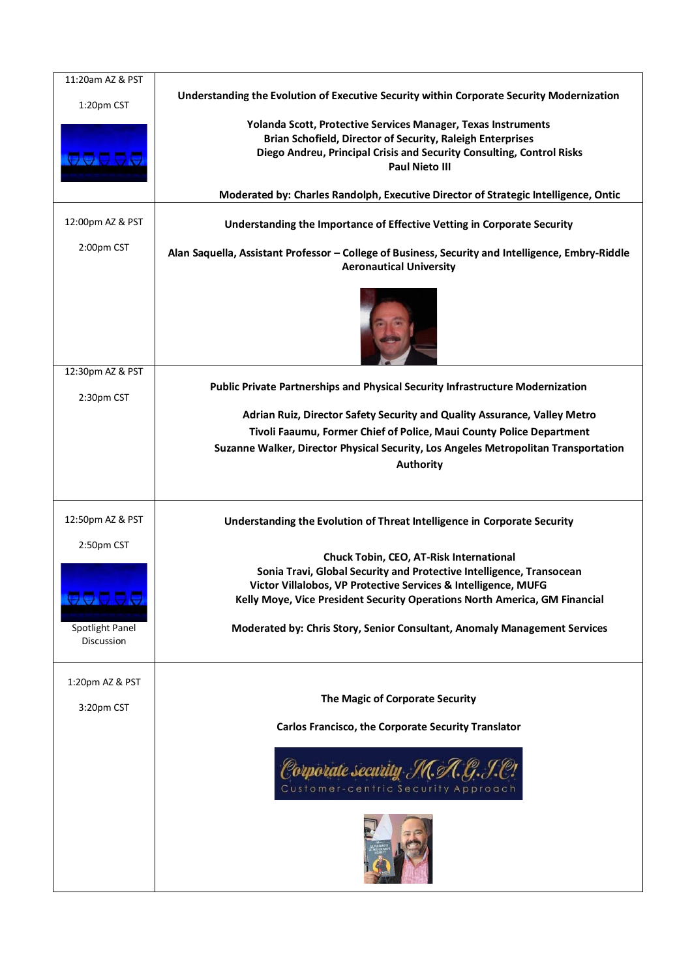| 11:20am AZ & PST<br>1:20pm CST | Understanding the Evolution of Executive Security within Corporate Security Modernization         |
|--------------------------------|---------------------------------------------------------------------------------------------------|
|                                | Yolanda Scott, Protective Services Manager, Texas Instruments                                     |
|                                | Brian Schofield, Director of Security, Raleigh Enterprises                                        |
| 66666                          | Diego Andreu, Principal Crisis and Security Consulting, Control Risks                             |
|                                | <b>Paul Nieto III</b>                                                                             |
|                                | Moderated by: Charles Randolph, Executive Director of Strategic Intelligence, Ontic               |
| 12:00pm AZ & PST               | Understanding the Importance of Effective Vetting in Corporate Security                           |
| 2:00pm CST                     | Alan Saquella, Assistant Professor - College of Business, Security and Intelligence, Embry-Riddle |
|                                | <b>Aeronautical University</b>                                                                    |
|                                |                                                                                                   |
|                                |                                                                                                   |
|                                |                                                                                                   |
|                                |                                                                                                   |
|                                |                                                                                                   |
| 12:30pm AZ & PST               |                                                                                                   |
|                                | Public Private Partnerships and Physical Security Infrastructure Modernization                    |
| 2:30pm CST                     |                                                                                                   |
|                                | Adrian Ruiz, Director Safety Security and Quality Assurance, Valley Metro                         |
|                                | Tivoli Faaumu, Former Chief of Police, Maui County Police Department                              |
|                                | Suzanne Walker, Director Physical Security, Los Angeles Metropolitan Transportation               |
|                                | <b>Authority</b>                                                                                  |
|                                |                                                                                                   |
|                                |                                                                                                   |
| 12:50pm AZ & PST               |                                                                                                   |
|                                | Understanding the Evolution of Threat Intelligence in Corporate Security                          |
|                                |                                                                                                   |
| 2:50pm CST                     | Chuck Tobin, CEO, AT-Risk International                                                           |
|                                | Sonia Travi, Global Security and Protective Intelligence, Transocean                              |
|                                | Victor Villalobos, VP Protective Services & Intelligence, MUFG                                    |
| AAAAA                          | Kelly Moye, Vice President Security Operations North America, GM Financial                        |
|                                |                                                                                                   |
| Spotlight Panel<br>Discussion  | Moderated by: Chris Story, Senior Consultant, Anomaly Management Services                         |
|                                |                                                                                                   |
|                                |                                                                                                   |
| 1:20pm AZ & PST                |                                                                                                   |
| 3:20pm CST                     | The Magic of Corporate Security                                                                   |
|                                | Carlos Francisco, the Corporate Security Translator                                               |
|                                |                                                                                                   |
|                                |                                                                                                   |
|                                | Corporate security                                                                                |
|                                | Customer-centric Security Approach                                                                |
|                                |                                                                                                   |
|                                |                                                                                                   |
|                                |                                                                                                   |
|                                |                                                                                                   |